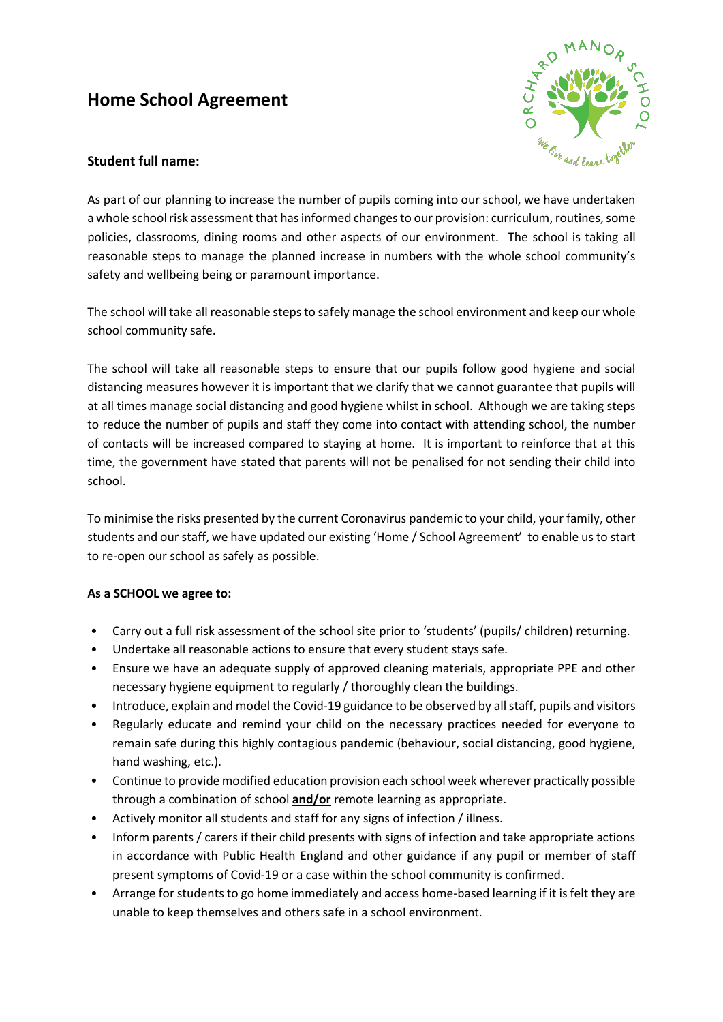# **Home School Agreement**



# **Student full name:**

As part of our planning to increase the number of pupils coming into our school, we have undertaken a whole school risk assessment that has informed changes to our provision: curriculum, routines, some policies, classrooms, dining rooms and other aspects of our environment. The school is taking all reasonable steps to manage the planned increase in numbers with the whole school community's safety and wellbeing being or paramount importance.

The school will take all reasonable steps to safely manage the school environment and keep our whole school community safe.

The school will take all reasonable steps to ensure that our pupils follow good hygiene and social distancing measures however it is important that we clarify that we cannot guarantee that pupils will at all times manage social distancing and good hygiene whilst in school. Although we are taking steps to reduce the number of pupils and staff they come into contact with attending school, the number of contacts will be increased compared to staying at home. It is important to reinforce that at this time, the government have stated that parents will not be penalised for not sending their child into school.

To minimise the risks presented by the current Coronavirus pandemic to your child, your family, other students and our staff, we have updated our existing 'Home / School Agreement' to enable us to start to re-open our school as safely as possible.

### **As a SCHOOL we agree to:**

- Carry out a full risk assessment of the school site prior to 'students' (pupils/ children) returning.
- Undertake all reasonable actions to ensure that every student stays safe.
- Ensure we have an adequate supply of approved cleaning materials, appropriate PPE and other necessary hygiene equipment to regularly / thoroughly clean the buildings.
- Introduce, explain and model the Covid-19 guidance to be observed by all staff, pupils and visitors
- Regularly educate and remind your child on the necessary practices needed for everyone to remain safe during this highly contagious pandemic (behaviour, social distancing, good hygiene, hand washing, etc.).
- Continue to provide modified education provision each school week wherever practically possible through a combination of school **and/or** remote learning as appropriate.
- Actively monitor all students and staff for any signs of infection / illness.
- Inform parents / carers if their child presents with signs of infection and take appropriate actions in accordance with Public Health England and other guidance if any pupil or member of staff present symptoms of Covid-19 or a case within the school community is confirmed.
- Arrange for students to go home immediately and access home-based learning if it is felt they are unable to keep themselves and others safe in a school environment.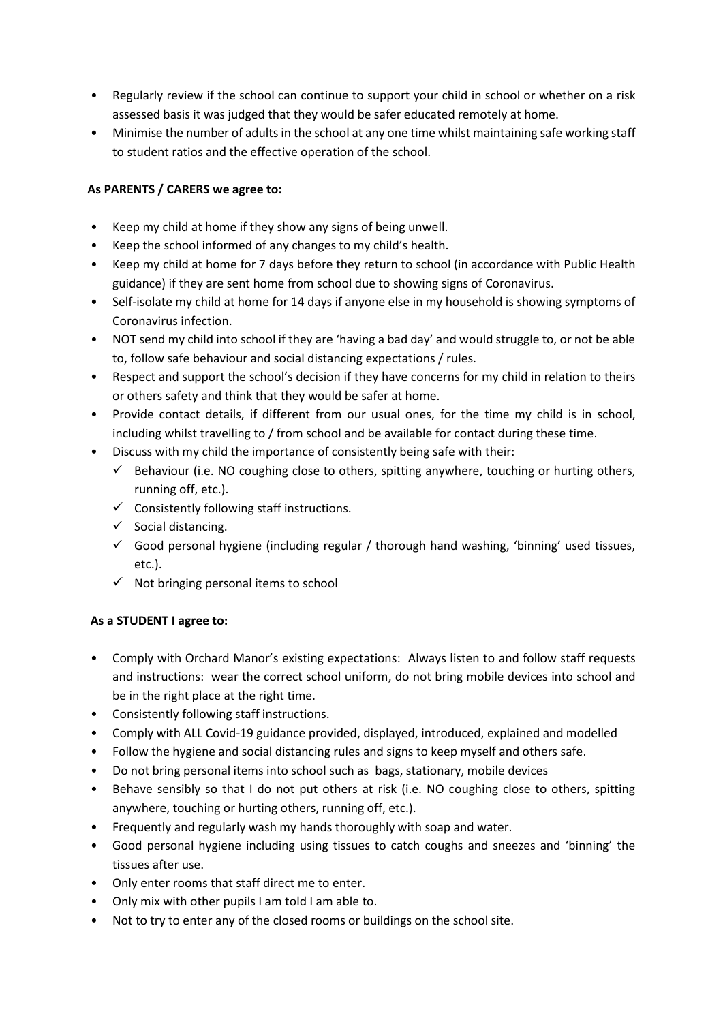- Regularly review if the school can continue to support your child in school or whether on a risk assessed basis it was judged that they would be safer educated remotely at home.
- Minimise the number of adults in the school at any one time whilst maintaining safe working staff to student ratios and the effective operation of the school.

# **As PARENTS / CARERS we agree to:**

- Keep my child at home if they show any signs of being unwell.
- Keep the school informed of any changes to my child's health.
- Keep my child at home for 7 days before they return to school (in accordance with Public Health guidance) if they are sent home from school due to showing signs of Coronavirus.
- Self-isolate my child at home for 14 days if anyone else in my household is showing symptoms of Coronavirus infection.
- NOT send my child into school if they are 'having a bad day' and would struggle to, or not be able to, follow safe behaviour and social distancing expectations / rules.
- Respect and support the school's decision if they have concerns for my child in relation to theirs or others safety and think that they would be safer at home.
- Provide contact details, if different from our usual ones, for the time my child is in school, including whilst travelling to / from school and be available for contact during these time.
- Discuss with my child the importance of consistently being safe with their:
	- $\checkmark$  Behaviour (i.e. NO coughing close to others, spitting anywhere, touching or hurting others, running off, etc.).
	- $\checkmark$  Consistently following staff instructions.
	- $\checkmark$  Social distancing.
	- $\checkmark$  Good personal hygiene (including regular / thorough hand washing, 'binning' used tissues, etc.).
	- $\checkmark$  Not bringing personal items to school

### **As a STUDENT I agree to:**

- Comply with Orchard Manor's existing expectations: Always listen to and follow staff requests and instructions: wear the correct school uniform, do not bring mobile devices into school and be in the right place at the right time.
- Consistently following staff instructions.
- Comply with ALL Covid-19 guidance provided, displayed, introduced, explained and modelled
- Follow the hygiene and social distancing rules and signs to keep myself and others safe.
- Do not bring personal items into school such as bags, stationary, mobile devices
- Behave sensibly so that I do not put others at risk (i.e. NO coughing close to others, spitting anywhere, touching or hurting others, running off, etc.).
- Frequently and regularly wash my hands thoroughly with soap and water.
- Good personal hygiene including using tissues to catch coughs and sneezes and 'binning' the tissues after use.
- Only enter rooms that staff direct me to enter.
- Only mix with other pupils I am told I am able to.
- Not to try to enter any of the closed rooms or buildings on the school site.